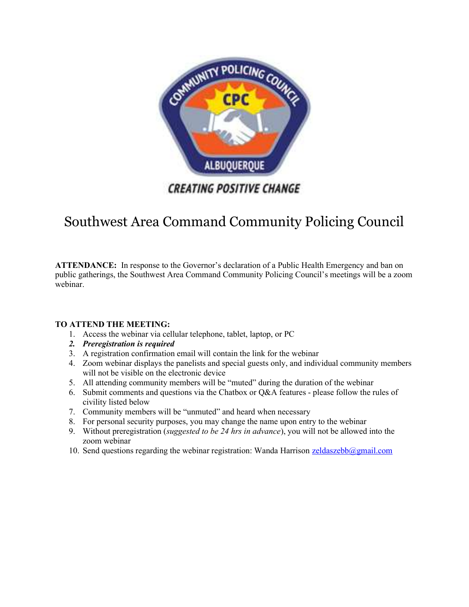

# Southwest Area Command Community Policing Council

ATTENDANCE: In response to the Governor's declaration of a Public Health Emergency and ban on public gatherings, the Southwest Area Command Community Policing Council's meetings will be a zoom webinar.

#### TO ATTEND THE MEETING:

- 1. Access the webinar via cellular telephone, tablet, laptop, or PC
- 2. Preregistration is required
- 3. A registration confirmation email will contain the link for the webinar
- 4. Zoom webinar displays the panelists and special guests only, and individual community members will not be visible on the electronic device
- 5. All attending community members will be "muted" during the duration of the webinar
- 6. Submit comments and questions via the Chatbox or Q&A features please follow the rules of civility listed below
- 7. Community members will be "unmuted" and heard when necessary
- 8. For personal security purposes, you may change the name upon entry to the webinar
- 9. Without preregistration (suggested to be 24 hrs in advance), you will not be allowed into the zoom webinar
- 10. Send questions regarding the webinar registration: Wanda Harrison  $\frac{zeldaszebb@gmail.com}{zeldaszebb@gmail.com}$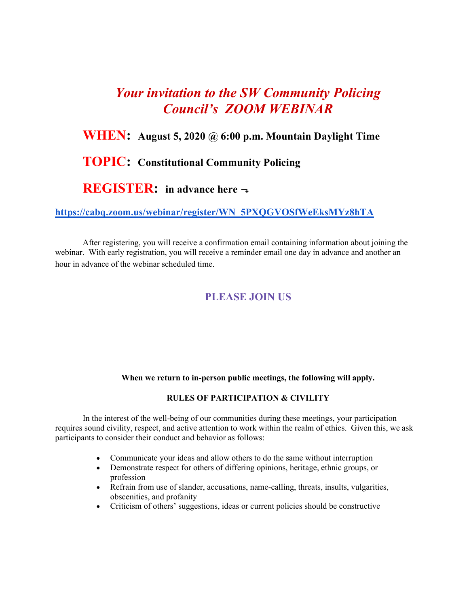# Your invitation to the SW Community Policing Council's ZOOM WEBINAR

# WHEN: August 5, 2020 @ 6:00 p.m. Mountain Daylight Time

### TOPIC: Constitutional Community Policing

### **REGISTER:** in advance here  $\rightarrow$

#### https://cabq.zoom.us/webinar/register/WN\_5PXQGVOSfWeEksMYz8hTA

After registering, you will receive a confirmation email containing information about joining the webinar. With early registration, you will receive a reminder email one day in advance and another an hour in advance of the webinar scheduled time.

#### PLEASE JOIN US

#### When we return to in-person public meetings, the following will apply.

#### RULES OF PARTICIPATION & CIVILITY

In the interest of the well-being of our communities during these meetings, your participation requires sound civility, respect, and active attention to work within the realm of ethics. Given this, we ask participants to consider their conduct and behavior as follows:

- Communicate your ideas and allow others to do the same without interruption
- Demonstrate respect for others of differing opinions, heritage, ethnic groups, or profession
- Refrain from use of slander, accusations, name-calling, threats, insults, vulgarities, obscenities, and profanity
- Criticism of others' suggestions, ideas or current policies should be constructive